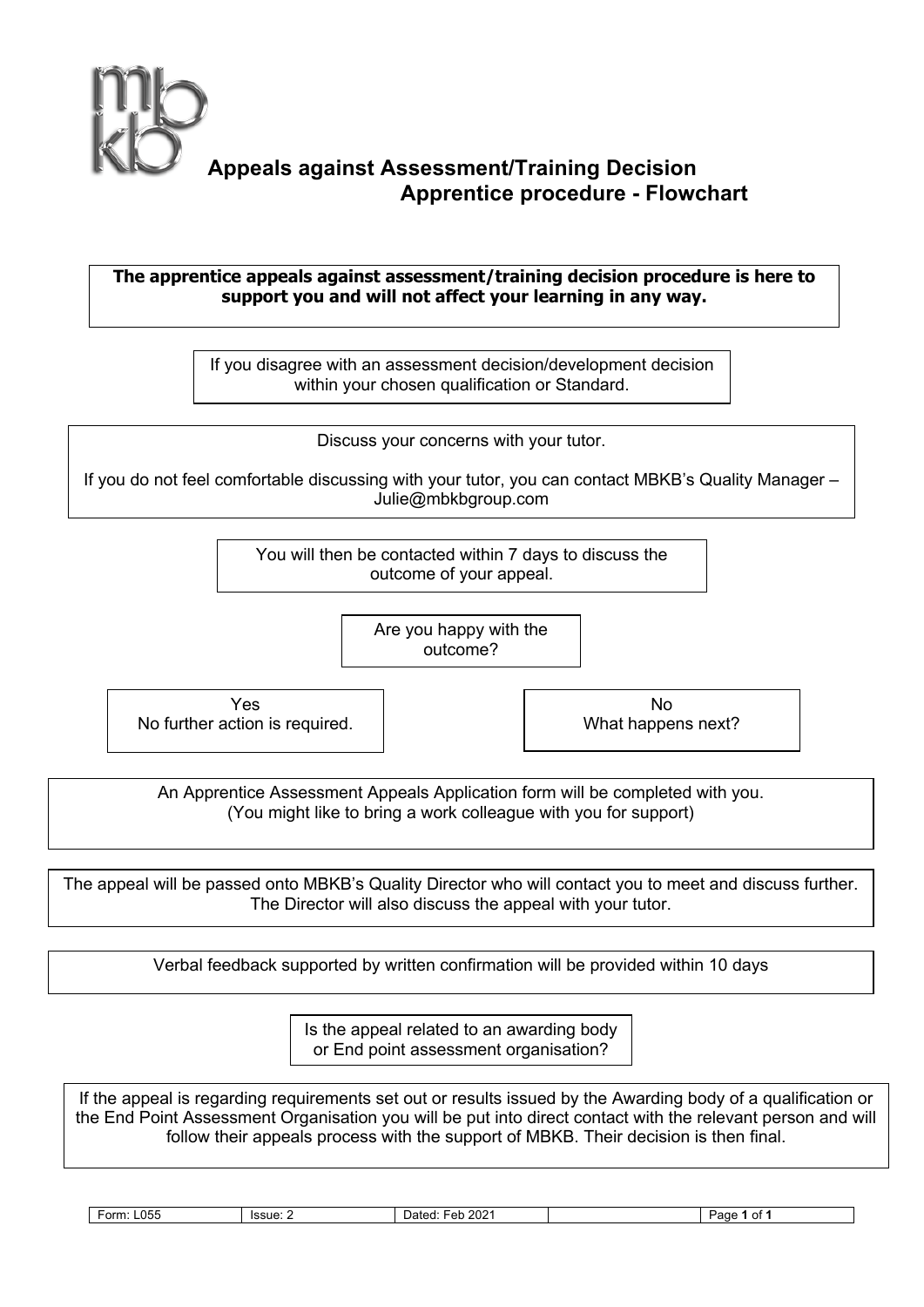

## **Appeals against Assessment/Training Decision Apprentice procedure - Flowchart**

## **The apprentice appeals against assessment/training decision procedure is here to support you and will not affect your learning in any way.**

If you disagree with an assessment decision/development decision within your chosen qualification or Standard.

Discuss your concerns with your tutor.

If you do not feel comfortable discussing with your tutor, you can contact MBKB's Quality Manager – Julie@mbkbgroup.com

> You will then be contacted within 7 days to discuss the outcome of your appeal.

> > Are you happy with the outcome?

Yes No further action is required.

No What happens next?

An Apprentice Assessment Appeals Application form will be completed with you. (You might like to bring a work colleague with you for support)

The appeal will be passed onto MBKB's Quality Director who will contact you to meet and discuss further. The Director will also discuss the appeal with your tutor.

Verbal feedback supported by written confirmation will be provided within 10 days

Is the appeal related to an awarding body or End point assessment organisation?

If the appeal is regarding requirements set out or results issued by the Awarding body of a qualification or the End Point Assessment Organisation you will be put into direct contact with the relevant person and will follow their appeals process with the support of MBKB. Their decision is then final.

**Form: L055** Issue: 2 Dated: Feb 2021 | Page 1 of 1